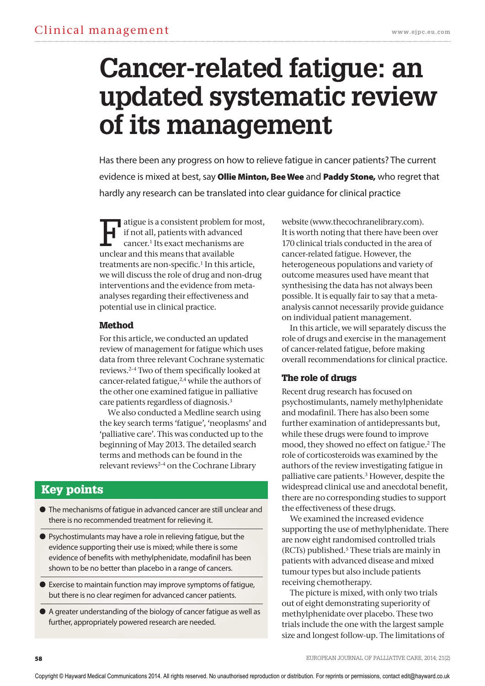# **Cancer-related fatigue: an updated systematic review of its management**

Has there been any progress on how to relieve fatigue in cancer patients? The current evidence is mixed at best, say **Ollie Minton, Bee wee** and **Paddy stone,** who regret that hardly any research can be translated into clear guidance for clinical practice

atigue is a consistent problem for most, if not all, patients with advanced cancer.1 Its exact mechanisms are unclear and this means that available treatments are non-specific.<sup>1</sup> In this article, we will discuss the role of drug and non-drug interventions and the evidence from metaanalyses regarding their effectiveness and potential use in clinical practice.

## Method

For this article, we conducted an updated review of management for fatigue which uses data from three relevant Cochrane systematic reviews.2–4 Two of them specifically looked at cancer-related fatigue,2,4 while the authors of the other one examined fatigue in palliative care patients regardless of diagnosis.3

We also conducted a Medline search using the key search terms 'fatigue', 'neoplasms' and 'palliative care'. This was conducted up to the beginning of May 2013. The detailed search terms and methods can be found in the relevant reviews2–4 on the Cochrane Library

# Key points

- **●** The mechanisms of fatigue in advanced cancer are still unclear and there is no recommended treatment for relieving it.
- **●** Psychostimulants may have a role in relieving fatigue, but the evidence supporting their use is mixed; while there is some evidence of benefits with methylphenidate, modafinil has been shown to be no better than placebo in a range of cancers.
- **●** Exercise to maintain function may improve symptoms of fatigue, but there is no clear regimen for advanced cancer patients.
- **●** A greater understanding of the biology of cancer fatigue as well as further, appropriately powered research are needed.

website (www.thecochranelibrary.com). It is worth noting that there have been over 170 clinical trials conducted in the area of cancer-related fatigue. However, the heterogeneous populations and variety of outcome measures used have meant that synthesising the data has not always been possible. It is equally fair to say that a metaanalysis cannot necessarily provide guidance on individual patient management.

In this article, we will separately discuss the role of drugs and exercise in the management of cancer-related fatigue, before making overall recommendations for clinical practice.

## The role of drugs

Recent drug research has focused on psychostimulants, namely methylphenidate and modafinil. There has also been some further examination of antidepressants but, while these drugs were found to improve mood, they showed no effect on fatigue.2 The role of corticosteroids was examined by the authors of the review investigating fatigue in palliative care patients.3 However, despite the widespread clinical use and anecdotal benefit, there are no corresponding studies to support the effectiveness of these drugs.

We examined the increased evidence supporting the use of methylphenidate. There are now eight randomised controlled trials (RCTs) published.5 These trials are mainly in patients with advanced disease and mixed tumour types but also include patients receiving chemotherapy.

The picture is mixed, with only two trials out of eight demonstrating superiority of methylphenidate over placebo. These two trials include the one with the largest sample size and longest follow-up. The limitations of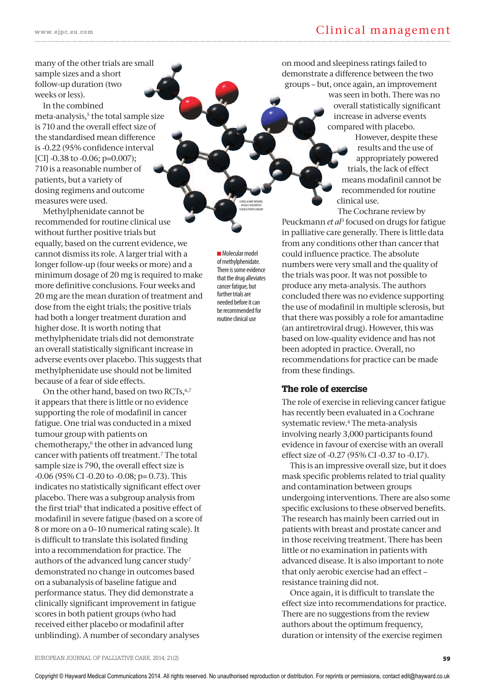many of the other trials are small sample sizes and a short follow-up duration (two weeks or less).

In the combined meta-analysis,<sup>5</sup> the total sample size is 710 and the overall effect size of the standardised mean difference is -0.22 (95% confidence interval [CI] -0.38 to -0.06; p=0.007); 710 is a reasonable number of patients, but a variety of dosing regimens and outcome measures were used.

Methylphenidate cannot be recommended for routine clinical use without further positive trials but equally, based on the current evidence, we cannot dismiss its role. A larger trial with a longer follow-up (four weeks or more) and a minimum dosage of 20 mg is required to make more definitive conclusions. Four weeks and 20 mg are the mean duration of treatment and dose from the eight trials; the positive trials had both a longer treatment duration and higher dose. It is worth noting that methylphenidate trials did not demonstrate an overall statistically significant increase in adverse events over placebo. This suggests that methylphenidate use should not be limited because of a fear of side effects.

On the other hand, based on two RCTs,<sup>6,7</sup> it appears that there is little or no evidence supporting the role of modafinil in cancer fatigue. One trial was conducted in a mixed tumour group with patients on chemotherapy,<sup>6</sup> the other in advanced lung cancer with patients off treatment.7 The total sample size is 790, the overall effect size is -0.06 (95% CI -0.20 to -0.08; p= 0.73). This indicates no statistically significant effect over placebo. There was a subgroup analysis from the first trial<sup>6</sup> that indicated a positive effect of modafinil in severe fatigue (based on a score of 8 or more on a 0–10 numerical rating scale). It is difficult to translate this isolated finding into a recommendation for practice. The authors of the advanced lung cancer study<sup>7</sup> demonstrated no change in outcomes based on a subanalysis of baseline fatigue and performance status. They did demonstrate a clinically significant improvement in fatigue scores in both patient groups (who had received either placebo or modafinil after unblinding). A number of secondary analyses

**■** Molecular model of methylphenidate. There is some evidence that the drug alleviates cancer fatigue, but further trials are needed before it can be recommended for routine clinical use

CAROL & MIKE WERNER, VISUALS UNLIMITED/ SCIENCE PHOTO LIBRARY on mood and sleepiness ratings failed to demonstrate a difference between the two groups – but, once again, an improvement was seen in both. There was no overall statistically significant increase in adverse events compared with placebo.

> However, despite these results and the use of appropriately powered trials, the lack of effect means modafinil cannot be recommended for routine clinical use.

The Cochrane review by Peuckmann *et al*<sup>3</sup> focused on drugs for fatigue in palliative care generally. There is little data from any conditions other than cancer that could influence practice. The absolute numbers were very small and the quality of the trials was poor. It was not possible to produce any meta-analysis. The authors concluded there was no evidence supporting the use of modafinil in multiple sclerosis, but that there was possibly a role for amantadine (an antiretroviral drug). However, this was based on low-quality evidence and has not been adopted in practice. Overall, no recommendations for practice can be made from these findings.

### The role of exercise

The role of exercise in relieving cancer fatigue has recently been evaluated in a Cochrane systematic review.4 The meta-analysis involving nearly 3,000 participants found evidence in favour of exercise with an overall effect size of -0.27 (95% CI -0.37 to -0.17).

This is an impressive overall size, but it does mask specific problems related to trial quality and contamination between groups undergoing interventions. There are also some specific exclusions to these observed benefits. The research has mainly been carried out in patients with breast and prostate cancer and in those receiving treatment. There has been little or no examination in patients with advanced disease. It is also important to note that only aerobic exercise had an effect – resistance training did not.

Once again, it is difficult to translate the effect size into recommendations for practice. There are no suggestions from the review authors about the optimum frequency, duration or intensity of the exercise regimen